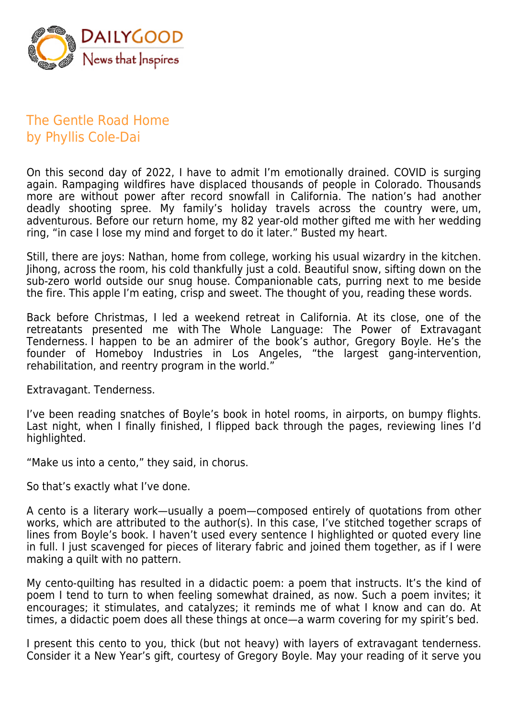

## The Gentle Road Home by Phyllis Cole-Dai

On this second day of 2022, I have to admit I'm emotionally drained. COVID is surging again. Rampaging wildfires have displaced thousands of people in Colorado. Thousands more are without power after record snowfall in California. The nation's had another deadly shooting spree. My family's holiday travels across the country were, um, adventurous. Before our return home, my 82 year-old mother gifted me with her wedding ring, "in case I lose my mind and forget to do it later." Busted my heart.

Still, there are joys: Nathan, home from college, working his usual wizardry in the kitchen. Jihong, across the room, his cold thankfully just a cold. Beautiful snow, sifting down on the sub-zero world outside our snug house. Companionable cats, purring next to me beside the fire. This apple I'm eating, crisp and sweet. The thought of you, reading these words.

Back before Christmas, I led a weekend retreat in California. At its close, one of the retreatants presented me with The Whole Language: The Power of Extravagant Tenderness. I happen to be an admirer of the book's author, Gregory Boyle. He's the founder of Homeboy Industries in Los Angeles, "the largest gang-intervention, rehabilitation, and reentry program in the world."

Extravagant. Tenderness.

I've been reading snatches of Boyle's book in hotel rooms, in airports, on bumpy flights. Last night, when I finally finished, I flipped back through the pages, reviewing lines I'd highlighted.

"Make us into a cento," they said, in chorus.

So that's exactly what I've done.

A cento is a literary work—usually a poem—composed entirely of quotations from other works, which are attributed to the author(s). In this case, I've stitched together scraps of lines from Boyle's book. I haven't used every sentence I highlighted or quoted every line in full. I just scavenged for pieces of literary fabric and joined them together, as if I were making a quilt with no pattern.

My cento-quilting has resulted in a didactic poem: a poem that instructs. It's the kind of poem I tend to turn to when feeling somewhat drained, as now. Such a poem invites; it encourages; it stimulates, and catalyzes; it reminds me of what I know and can do. At times, a didactic poem does all these things at once—a warm covering for my spirit's bed.

I present this cento to you, thick (but not heavy) with layers of extravagant tenderness. Consider it a New Year's gift, courtesy of Gregory Boyle. May your reading of it serve you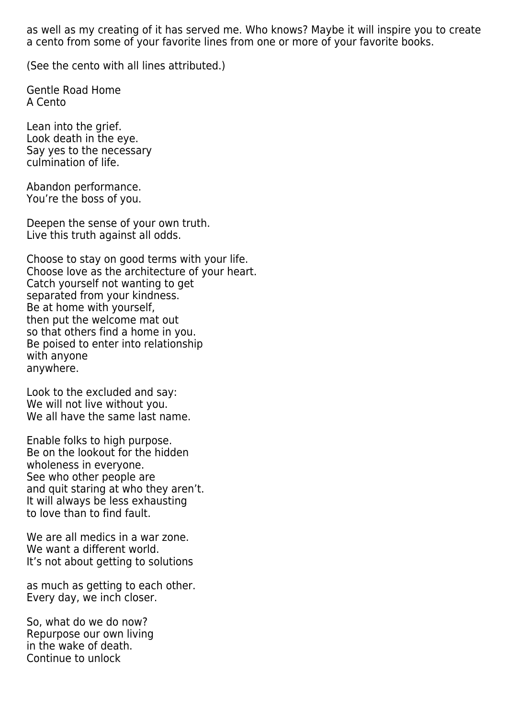as well as my creating of it has served me. Who knows? Maybe it will inspire you to create a cento from some of your favorite lines from one or more of your favorite books.

(See the cento with all lines attributed.)

Gentle Road Home A Cento

Lean into the grief. Look death in the eye. Say yes to the necessary culmination of life.

Abandon performance. You're the boss of you.

Deepen the sense of your own truth. Live this truth against all odds.

Choose to stay on good terms with your life. Choose love as the architecture of your heart. Catch yourself not wanting to get separated from your kindness. Be at home with yourself, then put the welcome mat out so that others find a home in you. Be poised to enter into relationship with anyone anywhere.

Look to the excluded and say: We will not live without you. We all have the same last name.

Enable folks to high purpose. Be on the lookout for the hidden wholeness in everyone. See who other people are and quit staring at who they aren't. It will always be less exhausting to love than to find fault.

We are all medics in a war zone. We want a different world. It's not about getting to solutions

as much as getting to each other. Every day, we inch closer.

So, what do we do now? Repurpose our own living in the wake of death. Continue to unlock